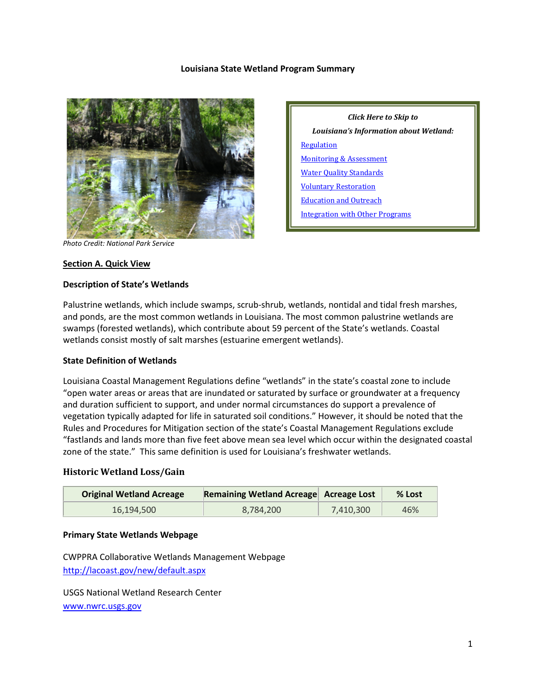#### **Louisiana State Wetland Program Summary**



*Click Here to Skip to Louisiana's Information about Wetland:* **[Regulation](#page-2-0)** [Monitoring & Assessment](#page-6-0) [Water Quality Standards](#page-7-0) [Voluntary Restoration](#page-8-0) [Education and Outreach](#page-9-0) [Integration with Other Programs](#page-10-0)

*Photo Credit: National Park Service*

#### **Section A. Quick View**

#### **Description of State's Wetlands**

Palustrine wetlands, which include swamps, scrub-shrub, wetlands, nontidal and tidal fresh marshes, and ponds, are the most common wetlands in Louisiana. The most common palustrine wetlands are swamps (forested wetlands), which contribute about 59 percent of the State's wetlands. Coastal wetlands consist mostly of salt marshes (estuarine emergent wetlands).

#### **State Definition of Wetlands**

Louisiana Coastal Management Regulations define "wetlands" in the state's coastal zone to include "open water areas or areas that are inundated or saturated by surface or groundwater at a frequency and duration sufficient to support, and under normal circumstances do support a prevalence of vegetation typically adapted for life in saturated soil conditions." However, it should be noted that the Rules and Procedures for Mitigation section of the state's Coastal Management Regulations exclude "fastlands and lands more than five feet above mean sea level which occur within the designated coastal zone of the state." This same definition is used for Louisiana's freshwater wetlands.

#### **Historic Wetland Loss/Gain**

| <b>Original Wetland Acreage</b> | Remaining Wetland Acreage Acreage Lost |           | % Lost |
|---------------------------------|----------------------------------------|-----------|--------|
| 16,194,500                      | 8,784,200                              | 7,410,300 | 46%    |

#### **Primary State Wetlands Webpage**

CWPPRA Collaborative Wetlands Management Webpage

<http://lacoast.gov/new/default.aspx>

USGS National Wetland Research Center [www.nwrc.usgs.gov](http://www.nwrc.usgs.gov/)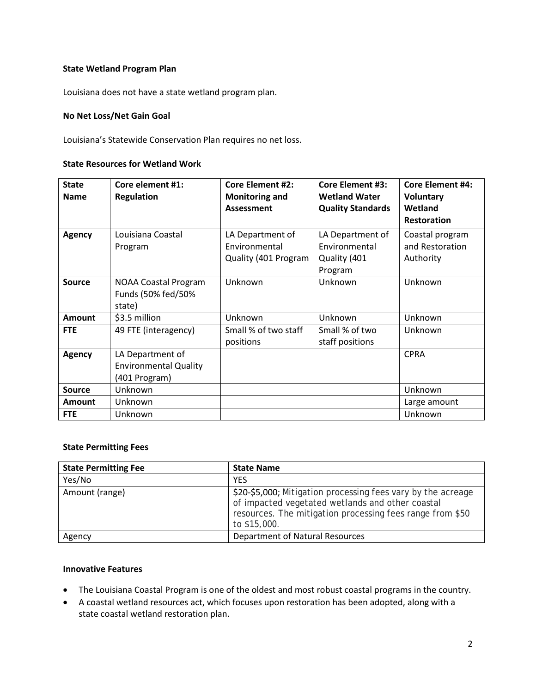### **State Wetland Program Plan**

Louisiana does not have a state wetland program plan.

### **No Net Loss/Net Gain Goal**

Louisiana's Statewide Conservation Plan requires no net loss.

#### **State Resources for Wetland Work**

| <b>State</b><br><b>Name</b> | Core element #1:<br><b>Regulation</b>                             | <b>Core Element #2:</b><br><b>Monitoring and</b><br><b>Assessment</b> | <b>Core Element #3:</b><br><b>Wetland Water</b><br><b>Quality Standards</b> | <b>Core Element #4:</b><br>Voluntary<br>Wetland<br><b>Restoration</b> |
|-----------------------------|-------------------------------------------------------------------|-----------------------------------------------------------------------|-----------------------------------------------------------------------------|-----------------------------------------------------------------------|
| <b>Agency</b>               | Louisiana Coastal<br>Program                                      | LA Department of<br>Environmental<br>Quality (401 Program             | LA Department of<br>Environmental<br>Quality (401<br>Program                | Coastal program<br>and Restoration<br>Authority                       |
| <b>Source</b>               | <b>NOAA Coastal Program</b><br>Funds (50% fed/50%<br>state)       | Unknown                                                               | Unknown                                                                     | Unknown                                                               |
| <b>Amount</b>               | \$3.5 million                                                     | Unknown                                                               | Unknown                                                                     | Unknown                                                               |
| <b>FTE</b>                  | 49 FTE (interagency)                                              | Small % of two staff<br>positions                                     | Small % of two<br>staff positions                                           | Unknown                                                               |
| <b>Agency</b>               | LA Department of<br><b>Environmental Quality</b><br>(401 Program) |                                                                       |                                                                             | <b>CPRA</b>                                                           |
| <b>Source</b>               | Unknown                                                           |                                                                       |                                                                             | Unknown                                                               |
| <b>Amount</b>               | Unknown                                                           |                                                                       |                                                                             | Large amount                                                          |
| <b>FTE</b>                  | Unknown                                                           |                                                                       |                                                                             | Unknown                                                               |

#### **State Permitting Fees**

| <b>State Permitting Fee</b> | <b>State Name</b>                                                                                                                                                                             |
|-----------------------------|-----------------------------------------------------------------------------------------------------------------------------------------------------------------------------------------------|
| Yes/No                      | <b>YES</b>                                                                                                                                                                                    |
| Amount (range)              | \$20-\$5,000; Mitigation processing fees vary by the acreage<br>of impacted vegetated wetlands and other coastal<br>resources. The mitigation processing fees range from \$50<br>to \$15,000. |
| Agency                      | Department of Natural Resources                                                                                                                                                               |

#### **Innovative Features**

- The Louisiana Coastal Program is one of the oldest and most robust coastal programs in the country.
- A coastal wetland resources act, which focuses upon restoration has been adopted, along with a state coastal wetland restoration plan.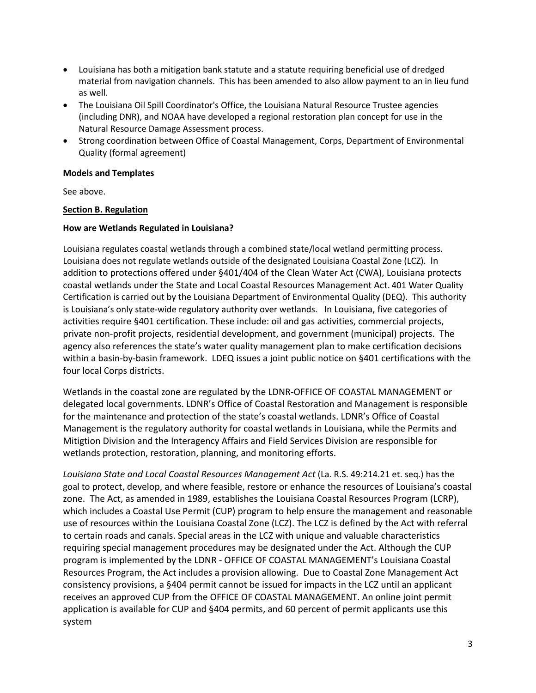- Louisiana has both a mitigation bank statute and a statute requiring beneficial use of dredged material from navigation channels. This has been amended to also allow payment to an in lieu fund as well.
- The Louisiana Oil Spill Coordinator's Office, the Louisiana Natural Resource Trustee agencies (including DNR), and NOAA have developed a regional restoration plan concept for use in the Natural Resource Damage Assessment process.
- Strong coordination between Office of Coastal Management, Corps, Department of Environmental Quality (formal agreement)

### **Models and Templates**

See above.

# <span id="page-2-0"></span>**Section B. Regulation**

# **How are Wetlands Regulated in Louisiana?**

Louisiana regulates coastal wetlands through a combined state/local wetland permitting process. Louisiana does not regulate wetlands outside of the designated Louisiana Coastal Zone (LCZ). In addition to protections offered under §401/404 of the Clean Water Act (CWA), Louisiana protects coastal wetlands under the State and Local Coastal Resources Management Act. 401 Water Quality Certification is carried out by the Louisiana Department of Environmental Quality (DEQ). This authority is Louisiana's only state-wide regulatory authority over wetlands. In Louisiana, five categories of activities require §401 certification. These include: oil and gas activities, commercial projects, private non-profit projects, residential development, and government (municipal) projects. The agency also references the state's water quality management plan to make certification decisions within a basin-by-basin framework. LDEQ issues a joint public notice on §401 certifications with the four local Corps districts.

Wetlands in the coastal zone are regulated by the LDNR-OFFICE OF COASTAL MANAGEMENT or delegated local governments. LDNR's Office of Coastal Restoration and Management is responsible for the maintenance and protection of the state's coastal wetlands. LDNR's Office of Coastal Management is the regulatory authority for coastal wetlands in Louisiana, while the Permits and Mitigtion Division and the Interagency Affairs and Field Services Division are responsible for wetlands protection, restoration, planning, and monitoring efforts.

*Louisiana State and Local Coastal Resources Management Act* (La. R.S. 49:214.21 et. seq.) has the goal to protect, develop, and where feasible, restore or enhance the resources of Louisiana's coastal zone. The Act, as amended in 1989, establishes the Louisiana Coastal Resources Program (LCRP), which includes a Coastal Use Permit (CUP) program to help ensure the management and reasonable use of resources within the Louisiana Coastal Zone (LCZ). The LCZ is defined by the Act with referral to certain roads and canals. Special areas in the LCZ with unique and valuable characteristics requiring special management procedures may be designated under the Act. Although the CUP program is implemented by the LDNR - OFFICE OF COASTAL MANAGEMENT's Louisiana Coastal Resources Program, the Act includes a provision allowing. Due to Coastal Zone Management Act consistency provisions, a §404 permit cannot be issued for impacts in the LCZ until an applicant receives an approved CUP from the OFFICE OF COASTAL MANAGEMENT. An online joint permit application is available for CUP and §404 permits, and 60 percent of permit applicants use this system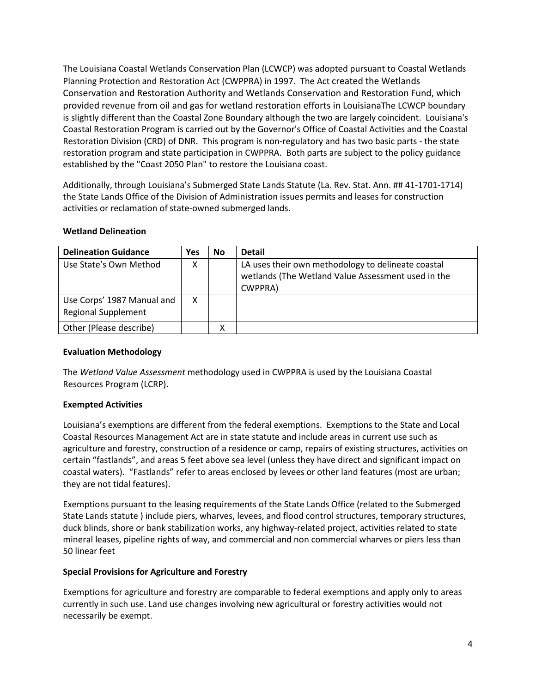The Louisiana Coastal Wetlands Conservation Plan (LCWCP) was adopted pursuant to Coastal Wetlands Planning Protection and Restoration Act (CWPPRA) in 1997. The Act created the Wetlands Conservation and Restoration Authority and Wetlands Conservation and Restoration Fund, which provided revenue from oil and gas for wetland restoration efforts in LouisianaThe LCWCP boundary is slightly different than the Coastal Zone Boundary although the two are largely coincident. Louisiana's Coastal Restoration Program is carried out by the Governor's Office of Coastal Activities and the Coastal Restoration Division (CRD) of DNR. This program is non-regulatory and has two basic parts - the state restoration program and state participation in CWPPRA. Both parts are subject to the policy guidance established by the "Coast 2050 Plan" to restore the Louisiana coast.

Additionally, through Louisiana's Submerged State Lands Statute (La. Rev. Stat. Ann. ## 41-1701-1714) the State Lands Office of the Division of Administration issues permits and leases for construction activities or reclamation of state-owned submerged lands.

### **Wetland Delineation**

| <b>Delineation Guidance</b>                              | Yes | <b>No</b> | <b>Detail</b>                                                                                                       |
|----------------------------------------------------------|-----|-----------|---------------------------------------------------------------------------------------------------------------------|
| Use State's Own Method                                   | Χ   |           | LA uses their own methodology to delineate coastal<br>wetlands (The Wetland Value Assessment used in the<br>CWPPRA) |
| Use Corps' 1987 Manual and<br><b>Regional Supplement</b> | x   |           |                                                                                                                     |
| Other (Please describe)                                  |     |           |                                                                                                                     |

### **Evaluation Methodology**

The *Wetland Value Assessment* methodology used in CWPPRA is used by the Louisiana Coastal Resources Program (LCRP).

# **Exempted Activities**

Louisiana's exemptions are different from the federal exemptions. Exemptions to the State and Local Coastal Resources Management Act are in state statute and include areas in current use such as agriculture and forestry, construction of a residence or camp, repairs of existing structures, activities on certain "fastlands", and areas 5 feet above sea level (unless they have direct and significant impact on coastal waters). "Fastlands" refer to areas enclosed by levees or other land features (most are urban; they are not tidal features).

Exemptions pursuant to the leasing requirements of the State Lands Office (related to the Submerged State Lands statute ) include piers, wharves, levees, and flood control structures, temporary structures, duck blinds, shore or bank stabilization works, any highway-related project, activities related to state mineral leases, pipeline rights of way, and commercial and non commercial wharves or piers less than 50 linear feet

### **Special Provisions for Agriculture and Forestry**

Exemptions for agriculture and forestry are comparable to federal exemptions and apply only to areas currently in such use. Land use changes involving new agricultural or forestry activities would not necessarily be exempt.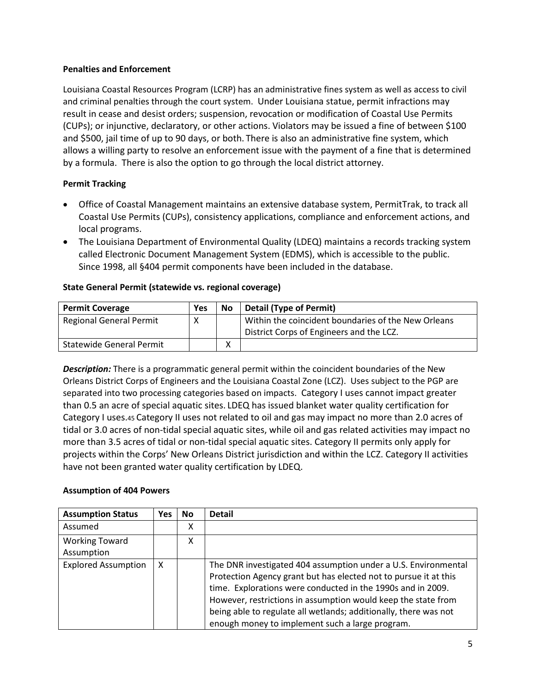# **Penalties and Enforcement**

Louisiana Coastal Resources Program (LCRP) has an administrative fines system as well as access to civil and criminal penalties through the court system. Under Louisiana statue, permit infractions may result in cease and desist orders; suspension, revocation or modification of Coastal Use Permits (CUPs); or injunctive, declaratory, or other actions. Violators may be issued a fine of between \$100 and \$500, jail time of up to 90 days, or both. There is also an administrative fine system, which allows a willing party to resolve an enforcement issue with the payment of a fine that is determined by a formula. There is also the option to go through the local district attorney.

# **Permit Tracking**

- Office of Coastal Management maintains an extensive database system, PermitTrak, to track all Coastal Use Permits (CUPs), consistency applications, compliance and enforcement actions, and local programs.
- The Louisiana Department of Environmental Quality (LDEQ) maintains a records tracking system called Electronic Document Management System (EDMS), which is accessible to the public. Since 1998, all §404 permit components have been included in the database.

# **State General Permit (statewide vs. regional coverage)**

| <b>Permit Coverage</b>          | Yes | No | <b>Detail (Type of Permit)</b>                      |
|---------------------------------|-----|----|-----------------------------------------------------|
| <b>Regional General Permit</b>  | χ   |    | Within the coincident boundaries of the New Orleans |
|                                 |     |    | District Corps of Engineers and the LCZ.            |
| <b>Statewide General Permit</b> |     | х  |                                                     |

*Description:* There is a programmatic general permit within the coincident boundaries of the New Orleans District Corps of Engineers and the Louisiana Coastal Zone (LCZ). Uses subject to the PGP are separated into two processing categories based on impacts.Category I uses cannot impact greater than 0.5 an acre of special aquatic sites. LDEQ has issued blanket water quality certification for Category I uses.45 Category II uses not related to oil and gas may impact no more than 2.0 acres of tidal or 3.0 acres of non-tidal special aquatic sites, while oil and gas related activities may impact no more than 3.5 acres of tidal or non-tidal special aquatic sites. Category II permits only apply for projects within the Corps' New Orleans District jurisdiction and within the LCZ. Category II activities have not been granted water quality certification by LDEQ.

### **Assumption of 404 Powers**

| <b>Assumption Status</b>            | <b>Yes</b> | <b>No</b> | <b>Detail</b>                                                                                                                                                                                                                                                                                                                                                                             |
|-------------------------------------|------------|-----------|-------------------------------------------------------------------------------------------------------------------------------------------------------------------------------------------------------------------------------------------------------------------------------------------------------------------------------------------------------------------------------------------|
| Assumed                             |            | х         |                                                                                                                                                                                                                                                                                                                                                                                           |
| <b>Working Toward</b><br>Assumption |            | x         |                                                                                                                                                                                                                                                                                                                                                                                           |
| <b>Explored Assumption</b>          | x          |           | The DNR investigated 404 assumption under a U.S. Environmental<br>Protection Agency grant but has elected not to pursue it at this<br>time. Explorations were conducted in the 1990s and in 2009.<br>However, restrictions in assumption would keep the state from<br>being able to regulate all wetlands; additionally, there was not<br>enough money to implement such a large program. |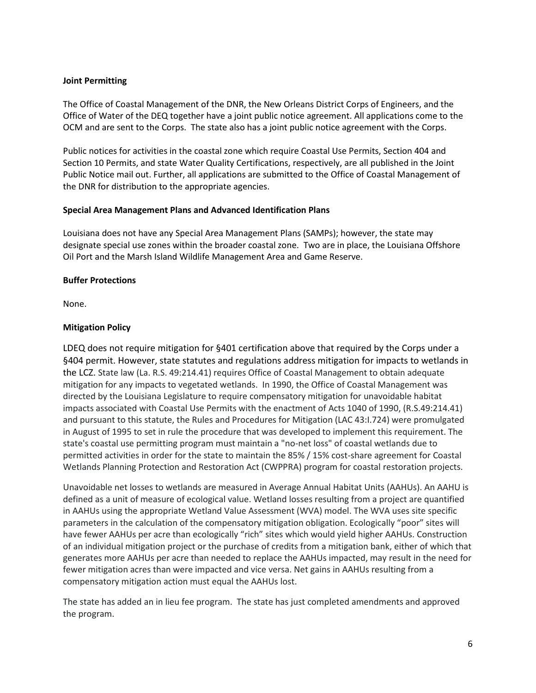### **Joint Permitting**

The Office of Coastal Management of the DNR, the New Orleans District Corps of Engineers, and the Office of Water of the DEQ together have a joint public notice agreement. All applications come to the OCM and are sent to the Corps. The state also has a joint public notice agreement with the Corps.

Public notices for activities in the coastal zone which require Coastal Use Permits, Section 404 and Section 10 Permits, and state Water Quality Certifications, respectively, are all published in the Joint Public Notice mail out. Further, all applications are submitted to the Office of Coastal Management of the DNR for distribution to the appropriate agencies.

### **Special Area Management Plans and Advanced Identification Plans**

Louisiana does not have any Special Area Management Plans (SAMPs); however, the state may designate special use zones within the broader coastal zone. Two are in place, the Louisiana Offshore Oil Port and the Marsh Island Wildlife Management Area and Game Reserve.

# **Buffer Protections**

None.

# **Mitigation Policy**

LDEQ does not require mitigation for §401 certification above that required by the Corps under a §404 permit. However, state statutes and regulations address mitigation for impacts to wetlands in the LCZ. State law (La. R.S. 49:214.41) requires Office of Coastal Management to obtain adequate mitigation for any impacts to vegetated wetlands. In 1990, the Office of Coastal Management was directed by the Louisiana Legislature to require compensatory mitigation for unavoidable habitat impacts associated with Coastal Use Permits with the enactment of Acts 1040 of 1990, (R.S.49:214.41) and pursuant to this statute, the Rules and Procedures for Mitigation (LAC 43:I.724) were promulgated in August of 1995 to set in rule the procedure that was developed to implement this requirement. The state's coastal use permitting program must maintain a "no-net loss" of coastal wetlands due to permitted activities in order for the state to maintain the 85% / 15% cost-share agreement for Coastal Wetlands Planning Protection and Restoration Act (CWPPRA) program for coastal restoration projects.

Unavoidable net losses to wetlands are measured in Average Annual Habitat Units (AAHUs). An AAHU is defined as a unit of measure of ecological value. Wetland losses resulting from a project are quantified in AAHUs using the appropriate Wetland Value Assessment (WVA) model. The WVA uses site specific parameters in the calculation of the compensatory mitigation obligation. Ecologically "poor" sites will have fewer AAHUs per acre than ecologically "rich" sites which would yield higher AAHUs. Construction of an individual mitigation project or the purchase of credits from a mitigation bank, either of which that generates more AAHUs per acre than needed to replace the AAHUs impacted, may result in the need for fewer mitigation acres than were impacted and vice versa. Net gains in AAHUs resulting from a compensatory mitigation action must equal the AAHUs lost.

The state has added an in lieu fee program. The state has just completed amendments and approved the program.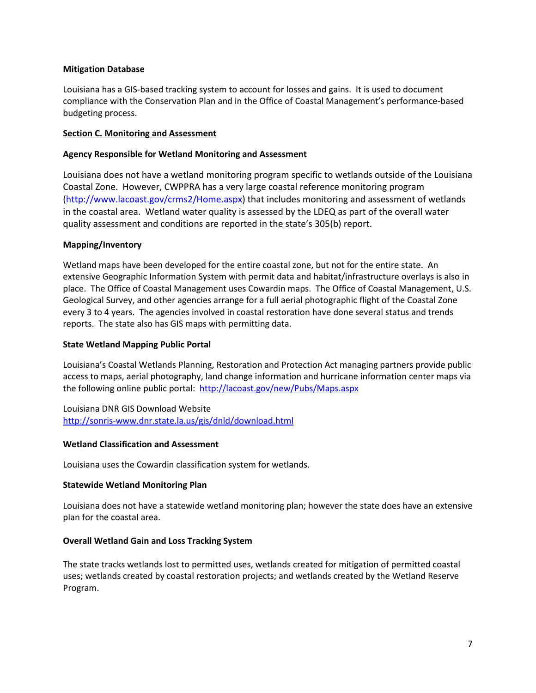### **Mitigation Database**

Louisiana has a GIS-based tracking system to account for losses and gains. It is used to document compliance with the Conservation Plan and in the Office of Coastal Management's performance-based budgeting process.

#### <span id="page-6-0"></span>**Section C. Monitoring and Assessment**

#### **Agency Responsible for Wetland Monitoring and Assessment**

Louisiana does not have a wetland monitoring program specific to wetlands outside of the Louisiana Coastal Zone. However, CWPPRA has a very large coastal reference monitoring program [\(http://www.lacoast.gov/crms2/Home.aspx\)](http://www.lacoast.gov/crms2/Home.aspx) that includes monitoring and assessment of wetlands in the coastal area. Wetland water quality is assessed by the LDEQ as part of the overall water quality assessment and conditions are reported in the state's 305(b) report.

#### **Mapping/Inventory**

Wetland maps have been developed for the entire coastal zone, but not for the entire state. An extensive Geographic Information System with permit data and habitat/infrastructure overlays is also in place. The Office of Coastal Management uses Cowardin maps. The Office of Coastal Management, U.S. Geological Survey, and other agencies arrange for a full aerial photographic flight of the Coastal Zone every 3 to 4 years. The agencies involved in coastal restoration have done several status and trends reports. The state also has GIS maps with permitting data.

#### **State Wetland Mapping Public Portal**

Louisiana's Coastal Wetlands Planning, Restoration and Protection Act managing partners provide public access to maps, aerial photography, land change information and hurricane information center maps via the following online public portal: <http://lacoast.gov/new/Pubs/Maps.aspx>

Louisiana DNR GIS Download Website <http://sonris-www.dnr.state.la.us/gis/dnld/download.html>

#### **Wetland Classification and Assessment**

Louisiana uses the Cowardin classification system for wetlands.

#### **Statewide Wetland Monitoring Plan**

Louisiana does not have a statewide wetland monitoring plan; however the state does have an extensive plan for the coastal area.

#### **Overall Wetland Gain and Loss Tracking System**

The state tracks wetlands lost to permitted uses, wetlands created for mitigation of permitted coastal uses; wetlands created by coastal restoration projects; and wetlands created by the Wetland Reserve Program.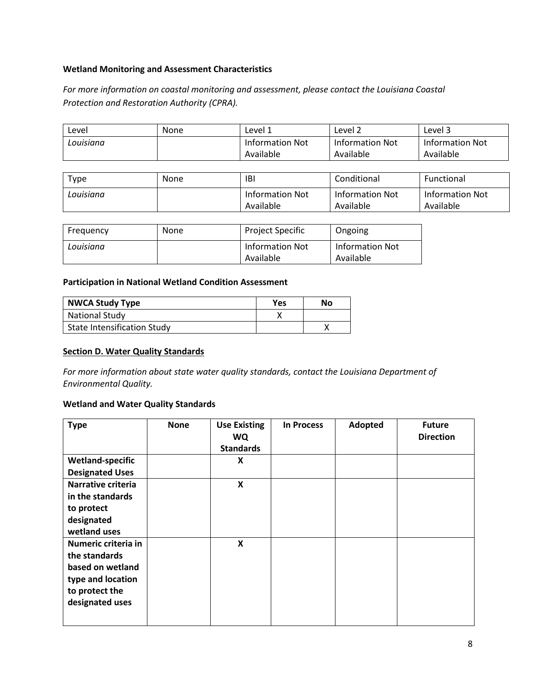### **Wetland Monitoring and Assessment Characteristics**

*For more information on coastal monitoring and assessment, please contact the Louisiana Coastal Protection and Restoration Authority (CPRA).*

| ∟evel     | <b>None</b> | Level 1         | Level 2         | Level 3         |
|-----------|-------------|-----------------|-----------------|-----------------|
| Louisiana |             | Information Not | Information Not | Information Not |
|           |             | Available       | Available       | Available       |

| Type      | None | IBI                                 | Conditional                         | Functional                          |
|-----------|------|-------------------------------------|-------------------------------------|-------------------------------------|
| Louisiana |      | <b>Information Not</b><br>Available | <b>Information Not</b><br>Available | <b>Information Not</b><br>Available |

| Frequency | None | <b>Project Specific</b>             | Ongoing                      |
|-----------|------|-------------------------------------|------------------------------|
| Louisiana |      | <b>Information Not</b><br>Available | Information Not<br>Available |

### **Participation in National Wetland Condition Assessment**

| <b>NWCA Study Type</b>             | <b>Yes</b> | No |
|------------------------------------|------------|----|
| <b>National Study</b>              |            |    |
| <b>State Intensification Study</b> |            |    |

### <span id="page-7-0"></span>**Section D. Water Quality Standards**

*For more information about state water quality standards, contact the Louisiana Department of Environmental Quality.*

#### **Wetland and Water Quality Standards**

| <b>Type</b>                                                                                                        | <b>None</b> | <b>Use Existing</b><br>WQ<br><b>Standards</b> | <b>In Process</b> | Adopted | <b>Future</b><br><b>Direction</b> |
|--------------------------------------------------------------------------------------------------------------------|-------------|-----------------------------------------------|-------------------|---------|-----------------------------------|
| <b>Wetland-specific</b>                                                                                            |             | X                                             |                   |         |                                   |
| <b>Designated Uses</b>                                                                                             |             |                                               |                   |         |                                   |
| Narrative criteria<br>in the standards<br>to protect<br>designated<br>wetland uses                                 |             | $\boldsymbol{\mathsf{x}}$                     |                   |         |                                   |
| Numeric criteria in<br>the standards<br>based on wetland<br>type and location<br>to protect the<br>designated uses |             | $\boldsymbol{\mathsf{X}}$                     |                   |         |                                   |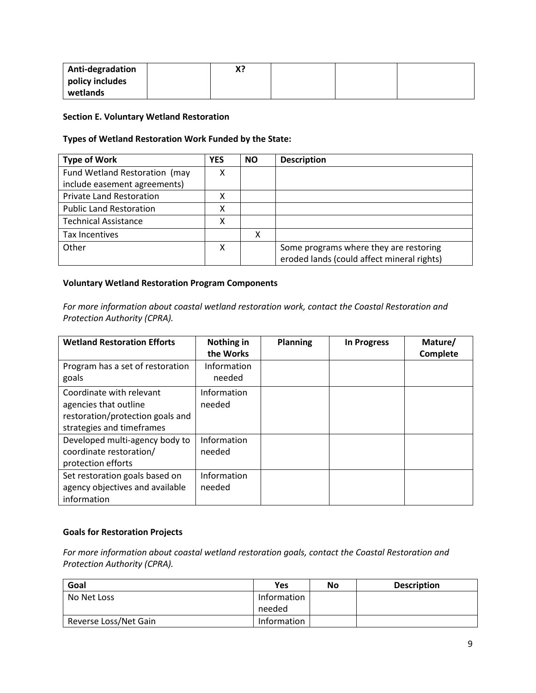| Anti-degradation | Χ? |  |  |
|------------------|----|--|--|
| policy includes  |    |  |  |
| wetlands         |    |  |  |

#### <span id="page-8-0"></span>**Section E. Voluntary Wetland Restoration**

### **Types of Wetland Restoration Work Funded by the State:**

| <b>Type of Work</b>             | <b>YES</b> | <b>NO</b> | <b>Description</b>                                                                   |
|---------------------------------|------------|-----------|--------------------------------------------------------------------------------------|
| Fund Wetland Restoration (may   | Χ          |           |                                                                                      |
| include easement agreements)    |            |           |                                                                                      |
| <b>Private Land Restoration</b> | х          |           |                                                                                      |
| <b>Public Land Restoration</b>  | х          |           |                                                                                      |
| <b>Technical Assistance</b>     | χ          |           |                                                                                      |
| <b>Tax Incentives</b>           |            | x         |                                                                                      |
| Other                           | х          |           | Some programs where they are restoring<br>eroded lands (could affect mineral rights) |

### **Voluntary Wetland Restoration Program Components**

*For more information about coastal wetland restoration work, contact the Coastal Restoration and Protection Authority (CPRA).*

| <b>Wetland Restoration Efforts</b> | Nothing in  | <b>Planning</b> | <b>In Progress</b> | Mature/  |
|------------------------------------|-------------|-----------------|--------------------|----------|
|                                    | the Works   |                 |                    | Complete |
| Program has a set of restoration   | Information |                 |                    |          |
| goals                              | needed      |                 |                    |          |
| Coordinate with relevant           | Information |                 |                    |          |
| agencies that outline              | needed      |                 |                    |          |
| restoration/protection goals and   |             |                 |                    |          |
| strategies and timeframes          |             |                 |                    |          |
| Developed multi-agency body to     | Information |                 |                    |          |
| coordinate restoration/            | needed      |                 |                    |          |
| protection efforts                 |             |                 |                    |          |
| Set restoration goals based on     | Information |                 |                    |          |
| agency objectives and available    | needed      |                 |                    |          |
| information                        |             |                 |                    |          |

### **Goals for Restoration Projects**

*For more information about coastal wetland restoration goals, contact the Coastal Restoration and Protection Authority (CPRA).*

| Goal                  | Yes         | No | <b>Description</b> |
|-----------------------|-------------|----|--------------------|
| No Net Loss           | Information |    |                    |
|                       | needed      |    |                    |
| Reverse Loss/Net Gain | Information |    |                    |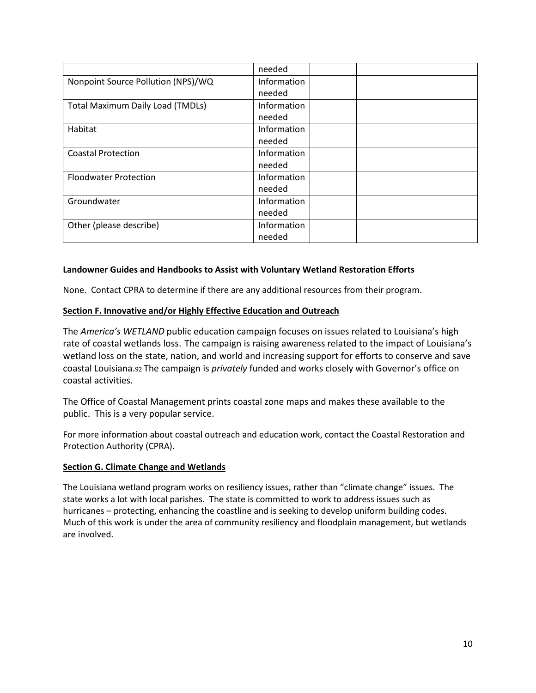|                                         | needed             |
|-----------------------------------------|--------------------|
| Nonpoint Source Pollution (NPS)/WQ      | <b>Information</b> |
|                                         | needed             |
| <b>Total Maximum Daily Load (TMDLs)</b> | Information        |
|                                         | needed             |
| Habitat                                 | Information        |
|                                         | needed             |
| <b>Coastal Protection</b>               | Information        |
|                                         | needed             |
| <b>Floodwater Protection</b>            | Information        |
|                                         | needed             |
| Groundwater                             | Information        |
|                                         | needed             |
| Other (please describe)                 | Information        |
|                                         | needed             |

# **Landowner Guides and Handbooks to Assist with Voluntary Wetland Restoration Efforts**

None. Contact CPRA to determine if there are any additional resources from their program.

#### <span id="page-9-0"></span>**Section F. Innovative and/or Highly Effective Education and Outreach**

The *America's WETLAND* public education campaign focuses on issues related to Louisiana's high rate of coastal wetlands loss. The campaign is raising awareness related to the impact of Louisiana's wetland loss on the state, nation, and world and increasing support for efforts to conserve and save coastal Louisiana.92 The campaign is *privately* funded and works closely with Governor's office on coastal activities.

The Office of Coastal Management prints coastal zone maps and makes these available to the public. This is a very popular service.

For more information about coastal outreach and education work, contact the Coastal Restoration and Protection Authority (CPRA).

### **Section G. Climate Change and Wetlands**

The Louisiana wetland program works on resiliency issues, rather than "climate change" issues. The state works a lot with local parishes. The state is committed to work to address issues such as hurricanes – protecting, enhancing the coastline and is seeking to develop uniform building codes. Much of this work is under the area of community resiliency and floodplain management, but wetlands are involved.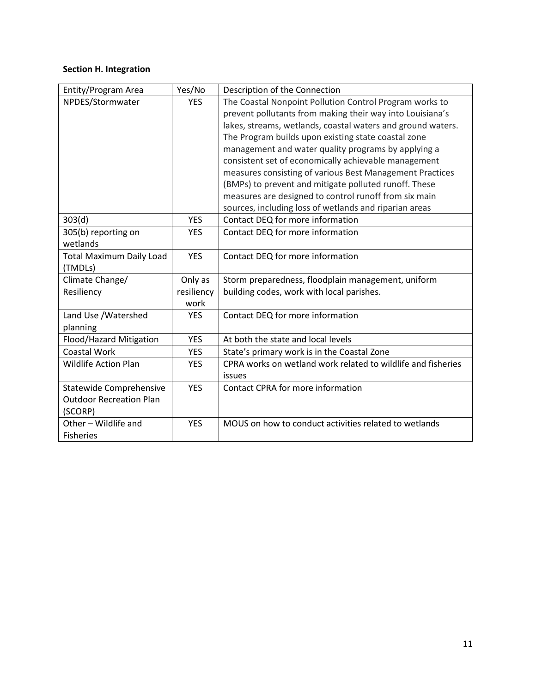# <span id="page-10-0"></span>**Section H. Integration**

| Entity/Program Area             | Yes/No     | Description of the Connection                                |
|---------------------------------|------------|--------------------------------------------------------------|
| NPDES/Stormwater                | <b>YES</b> | The Coastal Nonpoint Pollution Control Program works to      |
|                                 |            | prevent pollutants from making their way into Louisiana's    |
|                                 |            | lakes, streams, wetlands, coastal waters and ground waters.  |
|                                 |            | The Program builds upon existing state coastal zone          |
|                                 |            | management and water quality programs by applying a          |
|                                 |            | consistent set of economically achievable management         |
|                                 |            | measures consisting of various Best Management Practices     |
|                                 |            | (BMPs) to prevent and mitigate polluted runoff. These        |
|                                 |            | measures are designed to control runoff from six main        |
|                                 |            | sources, including loss of wetlands and riparian areas       |
| 303(d)                          | <b>YES</b> | Contact DEQ for more information                             |
| 305(b) reporting on             | <b>YES</b> | Contact DEQ for more information                             |
| wetlands                        |            |                                                              |
| <b>Total Maximum Daily Load</b> | <b>YES</b> | Contact DEQ for more information                             |
| (TMDLs)                         |            |                                                              |
| Climate Change/                 | Only as    | Storm preparedness, floodplain management, uniform           |
| Resiliency                      | resiliency | building codes, work with local parishes.                    |
|                                 | work       |                                                              |
| Land Use / Watershed            | <b>YES</b> | Contact DEQ for more information                             |
| planning                        |            |                                                              |
| Flood/Hazard Mitigation         | <b>YES</b> | At both the state and local levels                           |
| <b>Coastal Work</b>             | <b>YES</b> | State's primary work is in the Coastal Zone                  |
| <b>Wildlife Action Plan</b>     | <b>YES</b> | CPRA works on wetland work related to wildlife and fisheries |
|                                 |            | issues                                                       |
| <b>Statewide Comprehensive</b>  | <b>YES</b> | Contact CPRA for more information                            |
| <b>Outdoor Recreation Plan</b>  |            |                                                              |
| (SCORP)                         |            |                                                              |
| Other - Wildlife and            | <b>YES</b> | MOUS on how to conduct activities related to wetlands        |
| <b>Fisheries</b>                |            |                                                              |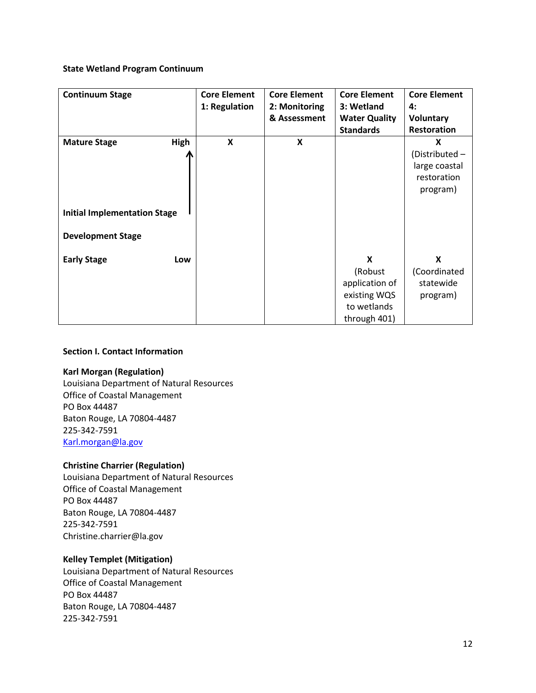#### **State Wetland Program Continuum**

| <b>Continuum Stage</b>              | <b>Core Element</b> | <b>Core Element</b> | <b>Core Element</b>  | <b>Core Element</b> |
|-------------------------------------|---------------------|---------------------|----------------------|---------------------|
|                                     | 1: Regulation       | 2: Monitoring       | 3: Wetland           | 4:                  |
|                                     |                     | & Assessment        | <b>Water Quality</b> | <b>Voluntary</b>    |
|                                     |                     |                     | <b>Standards</b>     | Restoration         |
| <b>Mature Stage</b><br>High         | X                   | X                   |                      | X                   |
|                                     |                     |                     |                      | (Distributed -      |
|                                     |                     |                     |                      | large coastal       |
|                                     |                     |                     |                      | restoration         |
|                                     |                     |                     |                      | program)            |
|                                     |                     |                     |                      |                     |
| <b>Initial Implementation Stage</b> |                     |                     |                      |                     |
|                                     |                     |                     |                      |                     |
| <b>Development Stage</b>            |                     |                     |                      |                     |
|                                     |                     |                     |                      |                     |
| <b>Early Stage</b><br>Low           |                     |                     | X                    | X                   |
|                                     |                     |                     | (Robust              | (Coordinated        |
|                                     |                     |                     | application of       | statewide           |
|                                     |                     |                     | existing WQS         | program)            |
|                                     |                     |                     | to wetlands          |                     |
|                                     |                     |                     | through 401)         |                     |

### **Section I. Contact Information**

### **Karl Morgan (Regulation)**

Louisiana Department of Natural Resources Office of Coastal Management PO Box 44487 Baton Rouge, LA 70804-4487 225-342-7591 [Karl.morgan@la.gov](mailto:Karl.morgan@la.gov)

### **Christine Charrier (Regulation)**

Louisiana Department of Natural Resources Office of Coastal Management PO Box 44487 Baton Rouge, LA 70804-4487 225-342-7591 Christine.charrier@la.gov

### **Kelley Templet (Mitigation)**

Louisiana Department of Natural Resources Office of Coastal Management PO Box 44487 Baton Rouge, LA 70804-4487 225-342-7591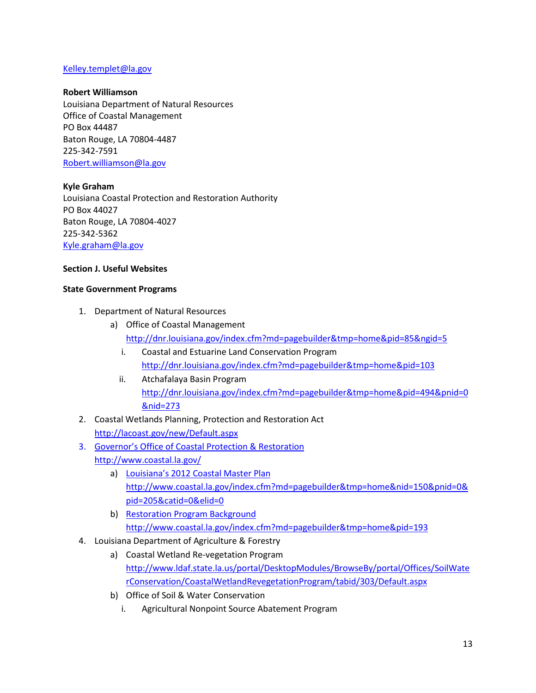### [Kelley.templet@la.gov](mailto:Kelley.templet@la.gov)

#### **Robert Williamson**

Louisiana Department of Natural Resources Office of Coastal Management PO Box 44487 Baton Rouge, LA 70804-4487 225-342-7591 [Robert.williamson@la.gov](mailto:Robert.williamson@la.gov)

#### **Kyle Graham**

Louisiana Coastal Protection and Restoration Authority PO Box 44027 Baton Rouge, LA 70804-4027 225-342-5362 [Kyle.graham@la.gov](mailto:Kyle.graham@la.gov)

#### **Section J. Useful Websites**

#### **State Government Programs**

- 1. Department of Natural Resources
	- a) Office of Coastal Management <http://dnr.louisiana.gov/index.cfm?md=pagebuilder&tmp=home&pid=85&ngid=5>
		- i. Coastal and Estuarine Land Conservation Program <http://dnr.louisiana.gov/index.cfm?md=pagebuilder&tmp=home&pid=103>
		- ii. Atchafalaya Basin Program [http://dnr.louisiana.gov/index.cfm?md=pagebuilder&tmp=home&pid=494&pnid=0](http://dnr.louisiana.gov/index.cfm?md=pagebuilder&tmp=home&pid=494&pnid=0&nid=273) [&nid=273](http://dnr.louisiana.gov/index.cfm?md=pagebuilder&tmp=home&pid=494&pnid=0&nid=273)
- 2. Coastal Wetlands Planning, Protection and Restoration Act <http://lacoast.gov/new/Default.aspx>
- 3. Governor's Office of Coastal Protection & Restoration
	- <http://www.coastal.la.gov/>
		- a) Louisiana's 2012 Coastal Master Plan [http://www.coastal.la.gov/index.cfm?md=pagebuilder&tmp=home&nid=150&pnid=0&](http://www.coastal.la.gov/index.cfm?md=pagebuilder&tmp=home&nid=150&pnid=0&pid=205&catid=0&elid=0) [pid=205&catid=0&elid=0](http://www.coastal.la.gov/index.cfm?md=pagebuilder&tmp=home&nid=150&pnid=0&pid=205&catid=0&elid=0)
		- b) Restoration Program Background <http://www.coastal.la.gov/index.cfm?md=pagebuilder&tmp=home&pid=193>
- 4. Louisiana Department of Agriculture & Forestry
	- a) Coastal Wetland Re-vegetation Program [http://www.ldaf.state.la.us/portal/DesktopModules/BrowseBy/portal/Offices/SoilWate](http://www.ldaf.state.la.us/portal/DesktopModules/BrowseBy/portal/Offices/SoilWaterConservation/CoastalWetlandRevegetationProgram/tabid/303/Default.aspx) [rConservation/CoastalWetlandRevegetationProgram/tabid/303/Default.aspx](http://www.ldaf.state.la.us/portal/DesktopModules/BrowseBy/portal/Offices/SoilWaterConservation/CoastalWetlandRevegetationProgram/tabid/303/Default.aspx)
	- b) Office of Soil & Water Conservation
		- i. Agricultural Nonpoint Source Abatement Program